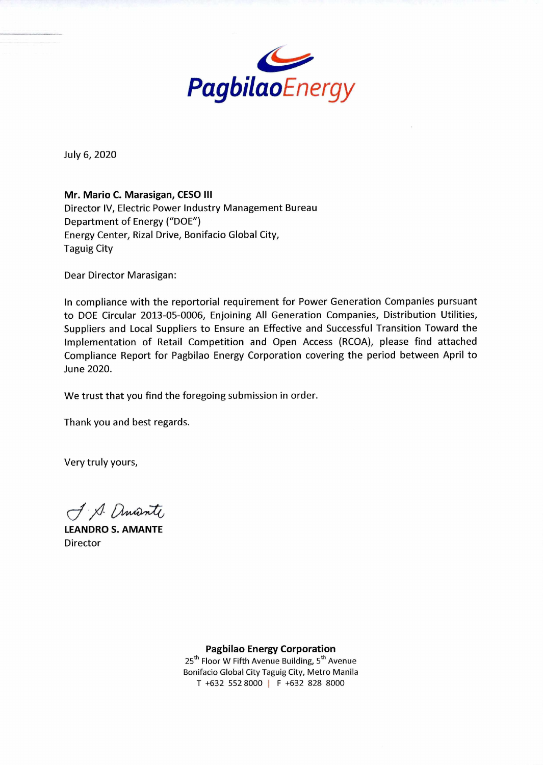

July 6, 2020

**Mr. Mario C. Marasigan, CESO III** 

Director IV, Electric Power Industry Management Bureau Department of Energy ("DOE") Energy Center, Rizal Drive, Bonifacio Global City, Taguig City

Dear Director Marasigan:

In compliance with the reportorial requirement for Power Generation Companies pursuant to DOE Circular 2013-05-0006, Enjoining All Generation Companies, Distribution Utilities, Suppliers and Local Suppliers to Ensure an Effective and Successful Transition Toward the Implementation of Retail Competition and Open Access (RCOA), please find attached Compliance Report for Pagbilao Energy Corporation covering the period between April to June 2020.

We trust that you find the foregoing submission in order.

Thank you and best regards.

Very truly yours,

J. S. amante

**LEANDRO S. AMANTE**  Director

**Pagbilao Energy Corporation** 

25<sup>th</sup> Floor W Fifth Avenue Building, 5<sup>th</sup> Avenue Bonifacio Global City Taguig City, Metro Manila T +632 552 8000 I F +632 828 8000